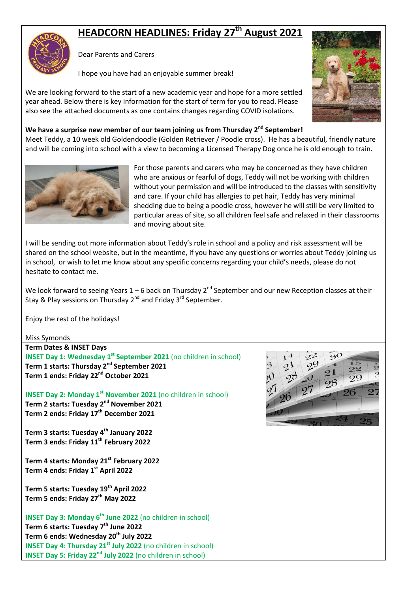# **HEADCORN HEADLINES: Friday 27th August 2021**



Dear Parents and Carers

I hope you have had an enjoyable summer break!

We are looking forward to the start of a new academic year and hope for a more settled year ahead. Below there is key information for the start of term for you to read. Please also see the attached documents as one contains changes regarding COVID isolations.



# **We have a surprise new member of our team joining us from Thursday 2nd September!**

Meet Teddy, a 10 week old Goldendoodle (Golden Retriever / Poodle cross). He has a beautiful, friendly nature and will be coming into school with a view to becoming a Licensed Therapy Dog once he is old enough to train.



For those parents and carers who may be concerned as they have children who are anxious or fearful of dogs, Teddy will not be working with children without your permission and will be introduced to the classes with sensitivity and care. If your child has allergies to pet hair, Teddy has very minimal shedding due to being a poodle cross, however he will still be very limited to particular areas of site, so all children feel safe and relaxed in their classrooms and moving about site.

I will be sending out more information about Teddy's role in school and a policy and risk assessment will be shared on the school website, but in the meantime, if you have any questions or worries about Teddy joining us in school, or wish to let me know about any specific concerns regarding your child's needs, please do not hesitate to contact me.

We look forward to seeing Years  $1 - 6$  back on Thursday 2<sup>nd</sup> September and our new Reception classes at their Stay & Play sessions on Thursday 2<sup>nd</sup> and Friday 3<sup>rd</sup> September.

Enjoy the rest of the holidays!

Miss Symonds

#### **Term Dates & INSET Days**

**INSET Day 1: Wednesday 1<sup>st</sup> September 2021** (no children in school) **Term 1 starts: Thursday 2nd September 2021 Term 1 ends: Friday 22nd October 2021**

**INSET Day 2: Monday 1st November 2021** (no children in school) **Term 2 starts: Tuesday 2nd November 2021 Term 2 ends: Friday 17th December 2021**

**Term 3 starts: Tuesday 4th January 2022 Term 3 ends: Friday 11th February 2022**

**Term 4 starts: Monday 21st February 2022 Term 4 ends: Friday 1st April 2022**

**Term 5 starts: Tuesday 19th April 2022 Term 5 ends: Friday 27th May 2022**

**INSET Day 3: Monday 6th June 2022** (no children in school) **Term 6 starts: Tuesday 7th June 2022 Term 6 ends: Wednesday 20th July 2022 INSET Day 4: Thursday 21st July 2022** (no children in school) **INSET Day 5: Friday 22nd July 2022** (no children in school)

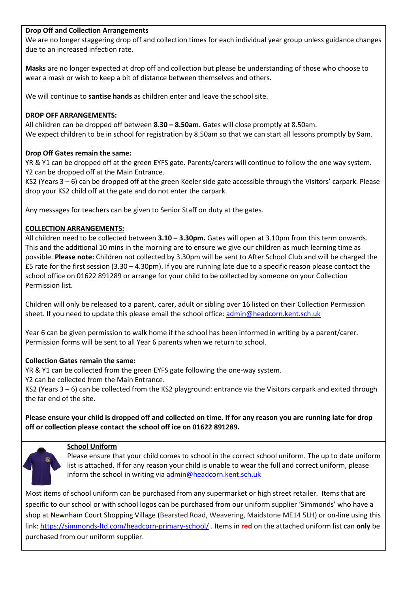#### **Drop Off and Collection Arrangements**

We are no longer staggering drop off and collection times for each individual year group unless guidance changes due to an increased infection rate.

**Masks** are no longer expected at drop off and collection but please be understanding of those who choose to wear a mask or wish to keep a bit of distance between themselves and others.

We will continue to **santise hands** as children enter and leave the school site.

#### **DROP OFF ARRANGEMENTS:**

All children can be dropped off between **8.30 – 8.50am.** Gates will close promptly at 8.50am. We expect children to be in school for registration by 8.50am so that we can start all lessons promptly by 9am.

#### **Drop Off Gates remain the same:**

YR & Y1 can be dropped off at the green EYFS gate. Parents/carers will continue to follow the one way system. Y2 can be dropped off at the Main Entrance.

KS2 (Years 3 – 6) can be dropped off at the green Keeler side gate accessible through the Visitors' carpark. Please drop your KS2 child off at the gate and do not enter the carpark.

Any messages for teachers can be given to Senior Staff on duty at the gates.

#### **COLLECTION ARRANGEMENTS:**

All children need to be collected between **3.10 – 3.30pm.** Gates will open at 3.10pm from this term onwards. This and the additional 10 mins in the morning are to ensure we give our children as much learning time as possible. **Please note:** Children not collected by 3.30pm will be sent to After School Club and will be charged the  $£5$  rate for the first session (3.30 – 4.30pm). If you are running late due to a specific reason please contact the school office on 01622 891289 or arrange for your child to be collected by someone on your Collection Permission list.

Children will only be released to a parent, carer, adult or sibling over 16 listed on their Collection Permission sheet. If you need to update this please email the school office: [admin@headcorn.kent.sch.uk](mailto:admin@headcorn.kent.sch.uk)

Year 6 can be given permission to walk home if the school has been informed in writing by a parent/carer. Permission forms will be sent to all Year 6 parents when we return to school.

#### **Collection Gates remain the same:**

YR & Y1 can be collected from the green EYFS gate following the one-way system.

Y2 can be collected from the Main Entrance.

KS2 (Years 3 – 6) can be collected from the KS2 playground: entrance via the Visitors carpark and exited through the far end of the site.

#### **Please ensure your child is dropped off and collected on time. If for any reason you are running late for drop off or collection please contact the school off ice on 01622 891289.**

# **School Uniform**

Please ensure that your child comes to school in the correct school uniform. The up to date uniform list is attached. If for any reason your child is unable to wear the full and correct uniform, please inform the school in writing vi[a admin@headcorn.kent.sch.uk](mailto:admin@headcorn.kent.sch.uk)

Most items of school uniform can be purchased from any supermarket or high street retailer. Items that are specific to our school or with school logos can be purchased from our uniform supplier 'Simmonds' who have a shop at Newnham Court Shopping Village (Bearsted Road, Weavering, Maidstone ME14 5LH) or on-line using this link:<https://simmonds-ltd.com/headcorn-primary-school/> . Items in **red** on the attached uniform list can **only** be purchased from our uniform supplier.